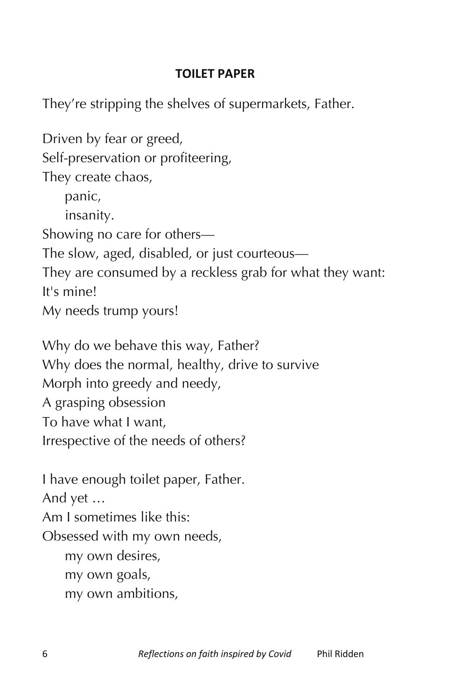## **TOILET PAPER**

They're stripping the shelves of supermarkets, Father.

Driven by fear or greed, Self-preservation or profiteering, They create chaos, panic, insanity. Showing no care for others— The slow, aged, disabled, or just courteous— They are consumed by a reckless grab for what they want: It's mine! My needs trump yours! Why do we behave this way, Father? Why does the normal, healthy, drive to survive Morph into greedy and needy, A grasping obsession To have what I want, Irrespective of the needs of others? I have enough toilet paper, Father. And yet … Am I sometimes like this: Obsessed with my own needs, my own desires, my own goals, my own ambitions,